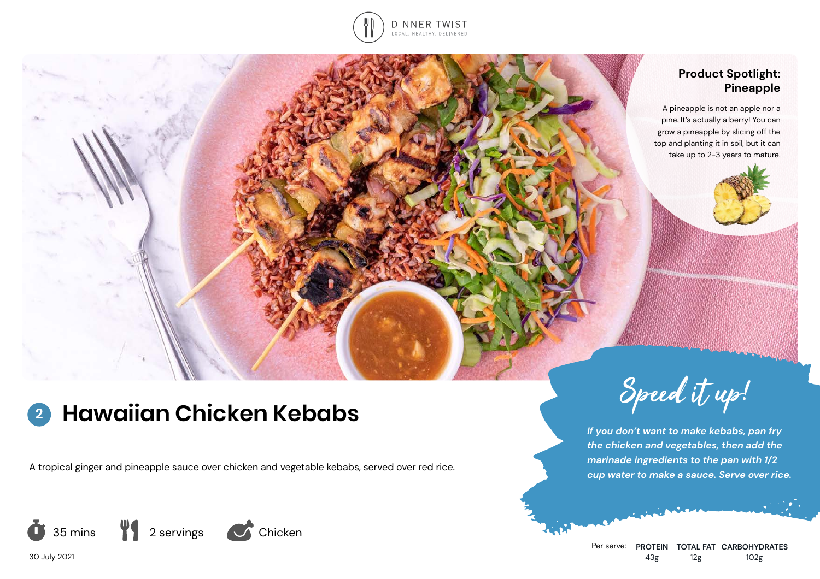

# **Product Spotlight: Pineapple**

A pineapple is not an apple nor a pine. It's actually a berry! You can grow a pineapple by slicing off the top and planting it in soil, but it can take up to 2-3 years to mature.



# **Hawaiian Chicken Kebabs** Speed it up! **2**

A tropical ginger and pineapple sauce over chicken and vegetable kebabs, served over red rice.



*If you don't want to make kebabs, pan fry the chicken and vegetables, then add the marinade ingredients to the pan with 1/2 cup water to make a sauce. Serve over rice.*